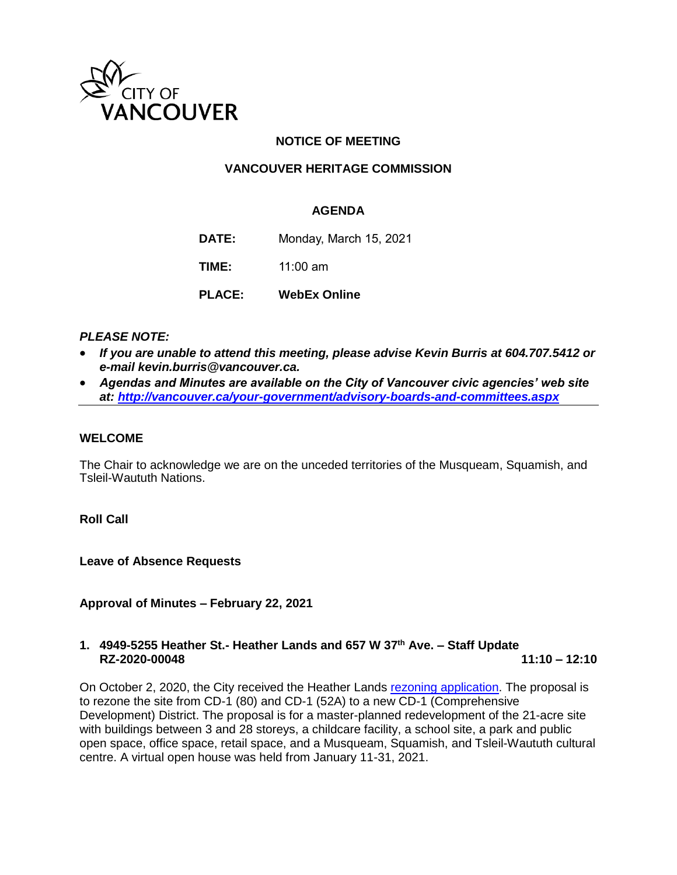

# **NOTICE OF MEETING**

# **VANCOUVER HERITAGE COMMISSION**

### **AGENDA**

**DATE:** Monday, March 15, 2021

**TIME:** 11:00 am

**PLACE: WebEx Online**

### *PLEASE NOTE:*

- *If you are unable to attend this meeting, please advise Kevin Burris at 604.707.5412 or e-mail kevin.burris@vancouver.ca.*
- *Agendas and Minutes are available on the City of Vancouver civic agencies' web site at:<http://vancouver.ca/your-government/advisory-boards-and-committees.aspx>*

#### **WELCOME**

The Chair to acknowledge we are on the unceded territories of the Musqueam, Squamish, and Tsleil-Waututh Nations.

**Roll Call**

**Leave of Absence Requests** 

**Approval of Minutes – February 22, 2021**

### **1. 4949-5255 Heather St.- Heather Lands and 657 W 37th Ave. – Staff Update RZ-2020-00048 11:10 – 12:10**

On October 2, 2020, the City received the Heather Lands [rezoning application.](https://shapeyourcity.ca/heather-lands) The proposal is to rezone the site from CD-1 (80) and CD-1 (52A) to a new CD-1 (Comprehensive Development) District. The proposal is for a master-planned redevelopment of the 21-acre site with buildings between 3 and 28 storeys, a childcare facility, a school site, a park and public open space, office space, retail space, and a Musqueam, Squamish, and Tsleil-Waututh cultural centre. A virtual open house was held from January 11-31, 2021.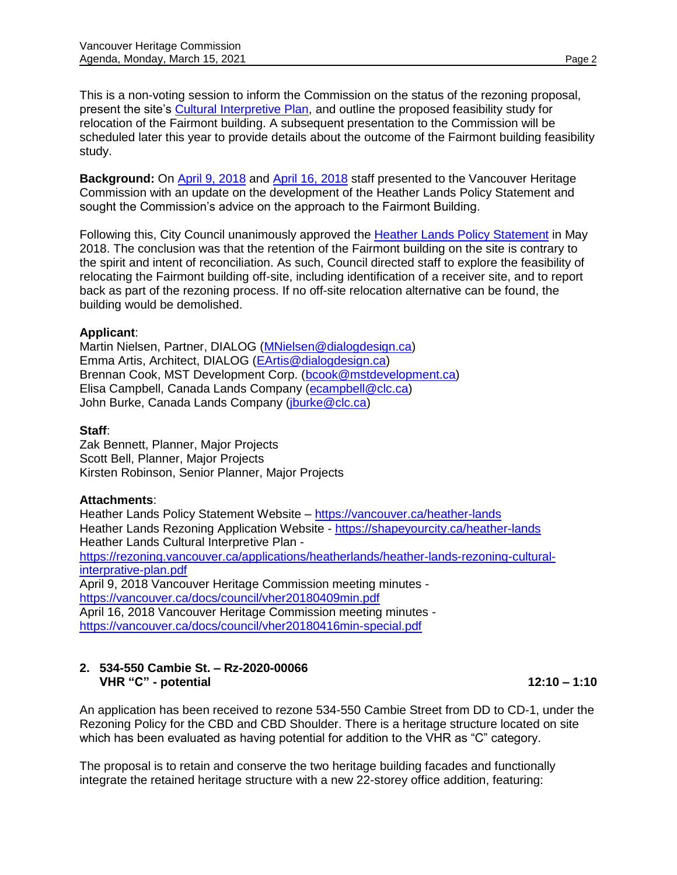This is a non-voting session to inform the Commission on the status of the rezoning proposal, present the site's [Cultural Interpretive Plan,](https://rezoning.vancouver.ca/applications/heatherlands/heather-lands-rezoning-cultural-interprative-plan.pdf) and outline the proposed feasibility study for relocation of the Fairmont building. A subsequent presentation to the Commission will be scheduled later this year to provide details about the outcome of the Fairmont building feasibility study.

**Background:** On [April 9, 2018](https://vancouver.ca/docs/council/vher20180409min.pdf) and [April 16, 2018](https://vancouver.ca/docs/council/vher20180416min-special.pdf) staff presented to the Vancouver Heritage Commission with an update on the development of the Heather Lands Policy Statement and sought the Commission's advice on the approach to the Fairmont Building.

Following this, City Council unanimously approved the [Heather Lands Policy Statement](https://vancouver.ca/files/cov/heather-lands-policy-statement.pdf) in May 2018. The conclusion was that the retention of the Fairmont building on the site is contrary to the spirit and intent of reconciliation. As such, Council directed staff to explore the feasibility of relocating the Fairmont building off-site, including identification of a receiver site, and to report back as part of the rezoning process. If no off-site relocation alternative can be found, the building would be demolished.

#### **Applicant**:

Martin Nielsen, Partner, DIALOG [\(MNielsen@dialogdesign.ca\)](mailto:MNielsen@dialogdesign.ca) Emma Artis, Architect, DIALOG [\(EArtis@dialogdesign.ca\)](mailto:EArtis@dialogdesign.ca) Brennan Cook, MST Development Corp. [\(bcook@mstdevelopment.ca\)](mailto:bcook@mstdevelopment.ca) Elisa Campbell, Canada Lands Company [\(ecampbell@clc.ca\)](mailto:ecampbell@clc.ca) John Burke, Canada Lands Company (*iburke@clc.ca*)

#### **Staff**:

Zak Bennett, Planner, Major Projects Scott Bell, Planner, Major Projects Kirsten Robinson, Senior Planner, Major Projects

#### **Attachments**:

Heather Lands Policy Statement Website - <https://vancouver.ca/heather-lands> Heather Lands Rezoning Application Website - <https://shapeyourcity.ca/heather-lands> Heather Lands Cultural Interpretive Plan [https://rezoning.vancouver.ca/applications/heatherlands/heather-lands-rezoning-cultural](https://rezoning.vancouver.ca/applications/heatherlands/heather-lands-rezoning-cultural-interprative-plan.pdf)[interprative-plan.pdf](https://rezoning.vancouver.ca/applications/heatherlands/heather-lands-rezoning-cultural-interprative-plan.pdf) April 9, 2018 Vancouver Heritage Commission meeting minutes <https://vancouver.ca/docs/council/vher20180409min.pdf> April 16, 2018 Vancouver Heritage Commission meeting minutes <https://vancouver.ca/docs/council/vher20180416min-special.pdf>

### **2. 534-550 Cambie St. – Rz-2020-00066 VHR "C" - potential 12:10 – 1:10**

An application has been received to rezone 534-550 Cambie Street from DD to CD-1, under the Rezoning Policy for the CBD and CBD Shoulder. There is a heritage structure located on site which has been evaluated as having potential for addition to the VHR as "C" category.

The proposal is to retain and conserve the two heritage building facades and functionally integrate the retained heritage structure with a new 22-storey office addition, featuring: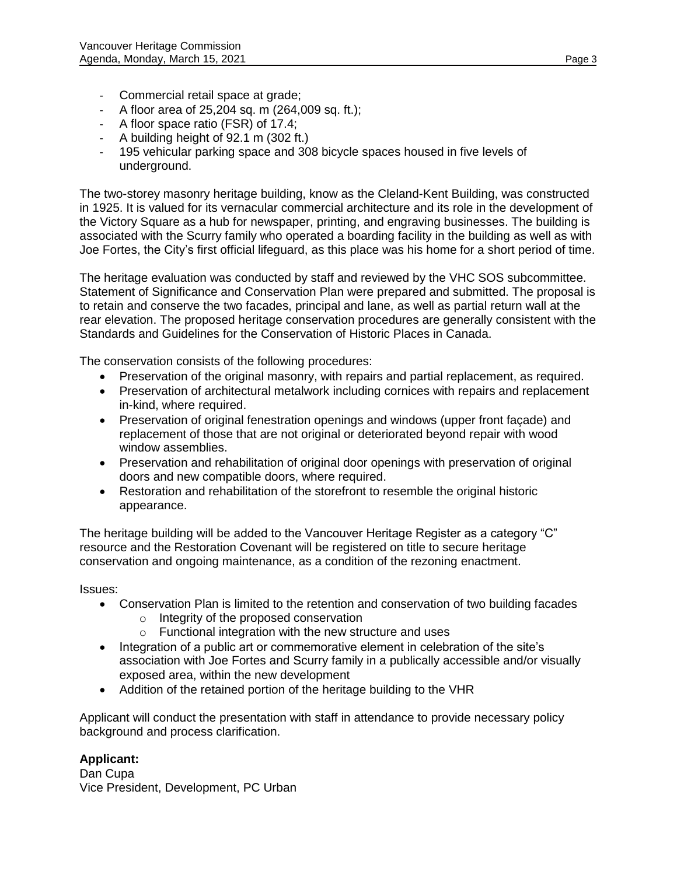- Commercial retail space at grade;
- A floor area of 25,204 sq. m (264,009 sq. ft.);
- A floor space ratio (FSR) of 17.4;
- A building height of 92.1 m (302 ft.)
- 195 vehicular parking space and 308 bicycle spaces housed in five levels of underground.

The two-storey masonry heritage building, know as the Cleland-Kent Building, was constructed in 1925. It is valued for its vernacular commercial architecture and its role in the development of the Victory Square as a hub for newspaper, printing, and engraving businesses. The building is associated with the Scurry family who operated a boarding facility in the building as well as with Joe Fortes, the City's first official lifeguard, as this place was his home for a short period of time.

The heritage evaluation was conducted by staff and reviewed by the VHC SOS subcommittee. Statement of Significance and Conservation Plan were prepared and submitted. The proposal is to retain and conserve the two facades, principal and lane, as well as partial return wall at the rear elevation. The proposed heritage conservation procedures are generally consistent with the Standards and Guidelines for the Conservation of Historic Places in Canada.

The conservation consists of the following procedures:

- Preservation of the original masonry, with repairs and partial replacement, as required.
- Preservation of architectural metalwork including cornices with repairs and replacement in-kind, where required.
- Preservation of original fenestration openings and windows (upper front façade) and replacement of those that are not original or deteriorated beyond repair with wood window assemblies.
- Preservation and rehabilitation of original door openings with preservation of original doors and new compatible doors, where required.
- Restoration and rehabilitation of the storefront to resemble the original historic appearance.

The heritage building will be added to the Vancouver Heritage Register as a category "C" resource and the Restoration Covenant will be registered on title to secure heritage conservation and ongoing maintenance, as a condition of the rezoning enactment.

Issues:

- Conservation Plan is limited to the retention and conservation of two building facades
	- o Integrity of the proposed conservation
	- o Functional integration with the new structure and uses
- Integration of a public art or commemorative element in celebration of the site's association with Joe Fortes and Scurry family in a publically accessible and/or visually exposed area, within the new development
- Addition of the retained portion of the heritage building to the VHR

Applicant will conduct the presentation with staff in attendance to provide necessary policy background and process clarification.

# **Applicant:**

Dan Cupa Vice President, Development, PC Urban